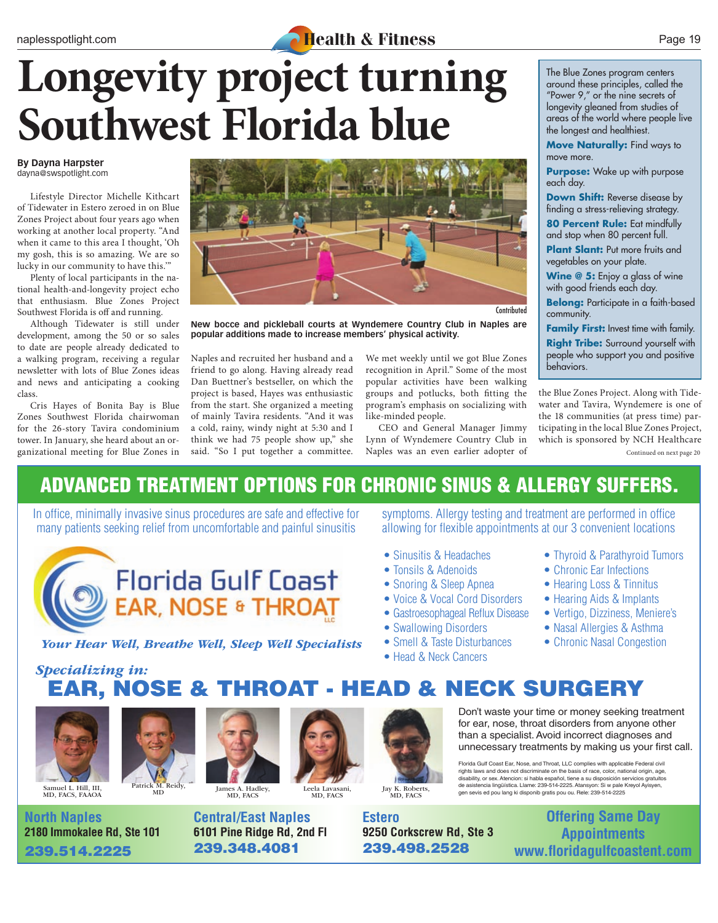#### naplesspotlight.com **Health & Fitness** Page 19

## **Longevity project turning Southwest Florida blue**

#### **By Dayna Harpster** dayna@swspotlight.com

Lifestyle Director Michelle Kithcart of Tidewater in Estero zeroed in on Blue Zones Project about four years ago when working at another local property. "And when it came to this area I thought, 'Oh my gosh, this is so amazing. We are so lucky in our community to have this.'"

Plenty of local participants in the national health-and-longevity project echo that enthusiasm. Blue Zones Project Southwest Florida is off and running.

Although Tidewater is still under development, among the 50 or so sales to date are people already dedicated to a walking program, receiving a regular newsletter with lots of Blue Zones ideas and news and anticipating a cooking class.

Cris Hayes of Bonita Bay is Blue Zones Southwest Florida chairwoman for the 26-story Tavira condominium tower. In January, she heard about an organizational meeting for Blue Zones in



**Contributed** 

**New bocce and pickleball courts at Wyndemere Country Club in Naples are popular additions made to increase members' physical activity.**

Naples and recruited her husband and a friend to go along. Having already read Dan Buettner's bestseller, on which the project is based, Hayes was enthusiastic from the start. She organized a meeting of mainly Tavira residents. "And it was a cold, rainy, windy night at 5:30 and I think we had 75 people show up," she said. "So I put together a committee. Naples was an even earlier adopter of Continued on next page 20

We met weekly until we got Blue Zones recognition in April." Some of the most popular activities have been walking groups and potlucks, both fitting the program's emphasis on socializing with like-minded people.

CEO and General Manager Jimmy Lynn of Wyndemere Country Club in Naples was an even earlier adopter of

The Blue Zones program centers around these principles, called the "Power 9," or the nine secrets of longevity gleaned from studies of areas of the world where people live the longest and healthiest.

**Move Naturally:** Find ways to move more.

**Purpose:** Wake up with purpose each day.

**Down Shift:** Reverse disease by finding a stress-relieving strategy.

**80 Percent Rule:** Eat mindfully and stop when 80 percent full.

**Plant Slant:** Put more fruits and vegetables on your plate.

**Wine @ 5:** Enjoy a glass of wine with good friends each day.

**Belong:** Participate in a faith-based community.

**Family First:** Invest time with family. **Right Tribe:** Surround yourself with people who support you and positive behaviors.

the Blue Zones Project. Along with Tidewater and Tavira, Wyndemere is one of the 18 communities (at press time) participating in the local Blue Zones Project, which is sponsored by NCH Healthcare

### ADVANCED TREATMENT OPTIONS FOR CHRONIC SINUS & ALLERGY SUFFERS.

In office, minimally invasive sinus procedures are safe and effective for many patients seeking relief from uncomfortable and painful sinusitis



symptoms. Allergy testing and treatment are performed in office allowing for flexible appointments at our 3 convenient locations

- Sinusitis & Headaches
- Tonsils & Adenoids
- Snoring & Sleep Apnea
- Voice & Vocal Cord Disorders
- Gastroesophageal Reflux Disease
- Swallowing Disorders
- Smell & Taste Disturbances
- 
- Head & Neck Cancers
- Thyroid & Parathyroid Tumors
- Chronic Ear Infections
- Hearing Loss & Tinnitus
- Hearing Aids & Implants
- Vertigo, Dizziness, Meniere's
- Nasal Allergies & Asthma
- Chronic Nasal Congestion

*Your Hear Well, Breathe Well, Sleep Well Specialists*

EAR, NOSE & THROAT - HEAD & NECK SURGERY *Specializing in:*



**North Naples**



**2180 Immokalee Rd, Ste 101** 239.514.2225



**6101 Pine Ridge Rd, 2nd Fl**

239.348.4081

MD, FACS **Central/East Naples**



Jay K. Roberts, MD, FACS

**Estero 9250 Corkscrew Rd, Ste 3** 239.498.2528

Don't waste your time or money seeking treatment for ear, nose, throat disorders from anyone other than a specialist. Avoid incorrect diagnoses and unnecessary treatments by making us your first call.

Florida Gulf Coast Ear, Nose, and Throat, LLC complies with applicable Federal civil rights laws and does not discriminate on the basis of race, color, national origin, age,<br>disability, or sex. Atencion: si habla español, tiene a su disposición servicios gratuitos<br>de asistencia lingüística. Llame: 239-514gen sevis ed pou lang ki disponib gratis pou ou. Rele: 239-514-2225

> **Offering Same Day Appointments www.floridagulfcoastent.com**